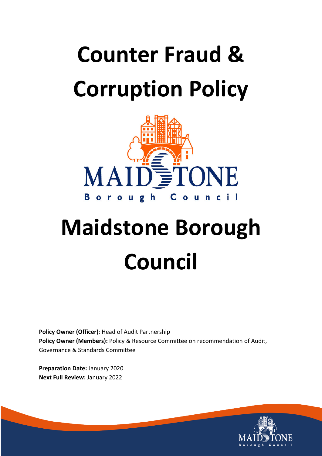# **Counter Fraud & Corruption Policy**



# **Maidstone Borough Council**

**Policy Owner (Officer)**: Head of Audit Partnership **Policy Owner (Members):** Policy & Resource Committee on recommendation of Audit, Governance & Standards Committee

**Preparation Date:** January 2020 **Next Full Review:** January 2022

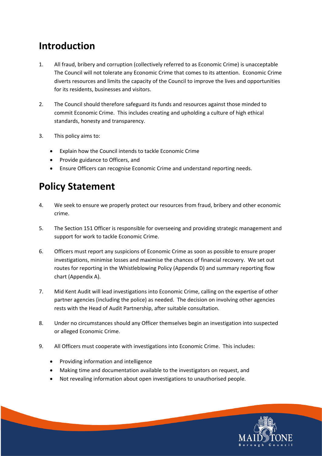## **Introduction**

- 1. All fraud, bribery and corruption (collectively referred to as Economic Crime) is unacceptable The Council will not tolerate any Economic Crime that comes to its attention. Economic Crime diverts resources and limits the capacity of the Council to improve the lives and opportunities for its residents, businesses and visitors.
- 2. The Council should therefore safeguard its funds and resources against those minded to commit Economic Crime. This includes creating and upholding a culture of high ethical standards, honesty and transparency.
- 3. This policy aims to:
	- Explain how the Council intends to tackle Economic Crime
	- Provide guidance to Officers, and
	- Ensure Officers can recognise Economic Crime and understand reporting needs.

## **Policy Statement**

- 4. We seek to ensure we properly protect our resources from fraud, bribery and other economic crime.
- 5. The Section 151 Officer is responsible for overseeing and providing strategic management and support for work to tackle Economic Crime.
- 6. Officers must report any suspicions of Economic Crime as soon as possible to ensure proper investigations, minimise losses and maximise the chances of financial recovery. We set out routes for reporting in the Whistleblowing Policy (Appendix D) and summary reporting flow chart (Appendix A).
- 7. Mid Kent Audit will lead investigations into Economic Crime, calling on the expertise of other partner agencies (including the police) as needed. The decision on involving other agencies rests with the Head of Audit Partnership, after suitable consultation.
- 8. Under no circumstances should any Officer themselves begin an investigation into suspected or alleged Economic Crime.
- 9. All Officers must cooperate with investigations into Economic Crime. This includes:
	- Providing information and intelligence
	- Making time and documentation available to the investigators on request, and
	- Not revealing information about open investigations to unauthorised people.

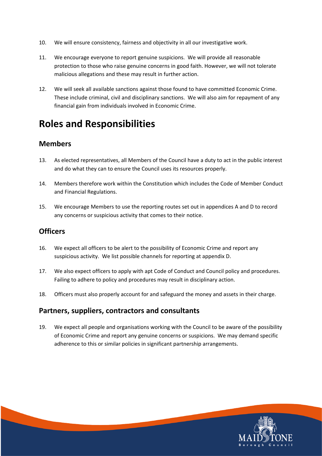- 10. We will ensure consistency, fairness and objectivity in all our investigative work.
- 11. We encourage everyone to report genuine suspicions. We will provide all reasonable protection to those who raise genuine concerns in good faith. However, we will not tolerate malicious allegations and these may result in further action.
- 12. We will seek all available sanctions against those found to have committed Economic Crime. These include criminal, civil and disciplinary sanctions. We will also aim for repayment of any financial gain from individuals involved in Economic Crime.

## **Roles and Responsibilities**

#### **Members**

- 13. As elected representatives, all Members of the Council have a duty to act in the public interest and do what they can to ensure the Council uses its resources properly.
- 14. Members therefore work within the Constitution which includes the Code of Member Conduct and Financial Regulations.
- 15. We encourage Members to use the reporting routes set out in appendices A and D to record any concerns or suspicious activity that comes to their notice.

#### **Officers**

- 16. We expect all officers to be alert to the possibility of Economic Crime and report any suspicious activity. We list possible channels for reporting at appendix D.
- 17. We also expect officers to apply with apt Code of Conduct and Council policy and procedures. Failing to adhere to policy and procedures may result in disciplinary action.
- 18. Officers must also properly account for and safeguard the money and assets in their charge.

#### **Partners, suppliers, contractors and consultants**

19. We expect all people and organisations working with the Council to be aware of the possibility of Economic Crime and report any genuine concerns or suspicions. We may demand specific adherence to this or similar policies in significant partnership arrangements.

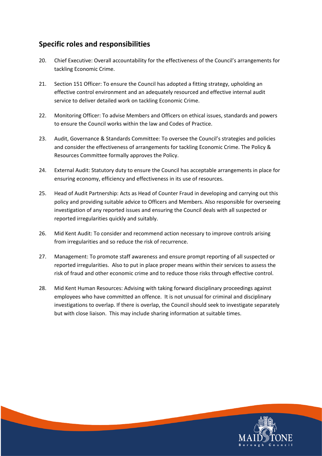#### **Specific roles and responsibilities**

- 20. Chief Executive: Overall accountability for the effectiveness of the Council's arrangements for tackling Economic Crime.
- 21. Section 151 Officer: To ensure the Council has adopted a fitting strategy, upholding an effective control environment and an adequately resourced and effective internal audit service to deliver detailed work on tackling Economic Crime.
- 22. Monitoring Officer: To advise Members and Officers on ethical issues, standards and powers to ensure the Council works within the law and Codes of Practice.
- 23. Audit, Governance & Standards Committee: To oversee the Council's strategies and policies and consider the effectiveness of arrangements for tackling Economic Crime. The Policy & Resources Committee formally approves the Policy.
- 24. External Audit: Statutory duty to ensure the Council has acceptable arrangements in place for ensuring economy, efficiency and effectiveness in its use of resources.
- 25. Head of Audit Partnership: Acts as Head of Counter Fraud in developing and carrying out this policy and providing suitable advice to Officers and Members. Also responsible for overseeing investigation of any reported issues and ensuring the Council deals with all suspected or reported irregularities quickly and suitably.
- 26. Mid Kent Audit: To consider and recommend action necessary to improve controls arising from irregularities and so reduce the risk of recurrence.
- 27. Management: To promote staff awareness and ensure prompt reporting of all suspected or reported irregularities. Also to put in place proper means within their services to assess the risk of fraud and other economic crime and to reduce those risks through effective control.
- 28. Mid Kent Human Resources: Advising with taking forward disciplinary proceedings against employees who have committed an offence. It is not unusual for criminal and disciplinary investigations to overlap. If there is overlap, the Council should seek to investigate separately but with close liaison. This may include sharing information at suitable times.

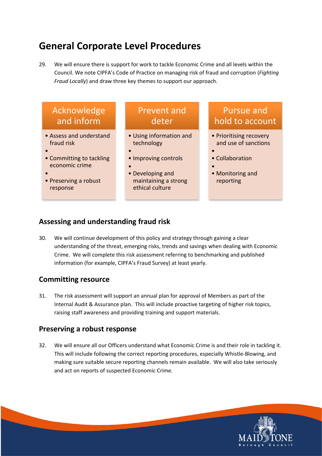## **General Corporate Level Procedures**

29. We will ensure there is support for work to tackle Economic Crime and all levels within the Council. We note CIPFA's Code of Practice on managing risk of fraud and corruption (*Fighting Fraud Locally*) and draw three key themes to support our approach.

| Acknowledge |  |
|-------------|--|
| and inform  |  |

- Assess and understand fraud risk
- •
- Committing to tackling economic crime
- •
- Preserving a robust response

## Prevent and deter

- Using information and technology
- • Improving controls
- •
- Developing and maintaining a strong ethical culture

### Pursue and hold to account

- Prioritising recovery and use of sanctions
- • Collaboration
- • Monitoring and reporting

#### **Assessing and understanding fraud risk**

30. We will continue development of this policy and strategy through gaining a clear understanding of the threat, emerging risks, trends and savings when dealing with Economic Crime. We will complete this risk assessment referring to benchmarking and published information (for example, CIPFA's Fraud Survey) at least yearly.

#### **Committing resource**

31. The risk assessment will support an annual plan for approval of Members as part of the Internal Audit & Assurance plan. This will include proactive targeting of higher risk topics, raising staff awareness and providing training and support materials.

#### **Preserving a robust response**

32. We will ensure all our Officers understand what Economic Crime is and their role in tackling it. This will include following the correct reporting procedures, especially Whistle-Blowing, and making sure suitable secure reporting channels remain available. We will also take seriously and act on reports of suspected Economic Crime.

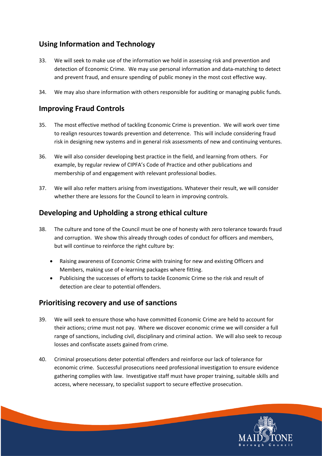#### **Using Information and Technology**

- 33. We will seek to make use of the information we hold in assessing risk and prevention and detection of Economic Crime. We may use personal information and data-matching to detect and prevent fraud, and ensure spending of public money in the most cost effective way.
- 34. We may also share information with others responsible for auditing or managing public funds.

#### **Improving Fraud Controls**

- 35. The most effective method of tackling Economic Crime is prevention. We will work over time to realign resources towards prevention and deterrence. This will include considering fraud risk in designing new systems and in general risk assessments of new and continuing ventures.
- 36. We will also consider developing best practice in the field, and learning from others. For example, by regular review of CIPFA's Code of Practice and other publications and membership of and engagement with relevant professional bodies.
- 37. We will also refer matters arising from investigations. Whatever their result, we will consider whether there are lessons for the Council to learn in improving controls.

#### **Developing and Upholding a strong ethical culture**

- 38. The culture and tone of the Council must be one of honesty with zero tolerance towards fraud and corruption. We show this already through codes of conduct for officers and members, but will continue to reinforce the right culture by:
	- Raising awareness of Economic Crime with training for new and existing Officers and Members, making use of e-learning packages where fitting.
	- Publicising the successes of efforts to tackle Economic Crime so the risk and result of detection are clear to potential offenders.

#### **Prioritising recovery and use of sanctions**

- 39. We will seek to ensure those who have committed Economic Crime are held to account for their actions; crime must not pay. Where we discover economic crime we will consider a full range of sanctions, including civil, disciplinary and criminal action. We will also seek to recoup losses and confiscate assets gained from crime.
- 40. Criminal prosecutions deter potential offenders and reinforce our lack of tolerance for economic crime. Successful prosecutions need professional investigation to ensure evidence gathering complies with law. Investigative staff must have proper training, suitable skills and access, where necessary, to specialist support to secure effective prosecution.

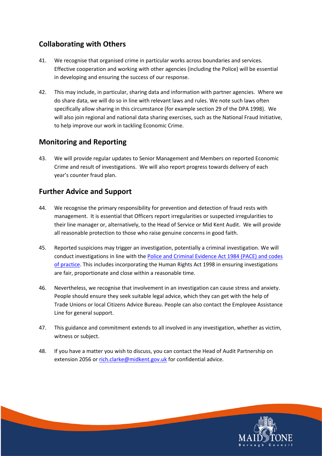#### **Collaborating with Others**

- 41. We recognise that organised crime in particular works across boundaries and services. Effective cooperation and working with other agencies (including the Police) will be essential in developing and ensuring the success of our response.
- 42. This may include, in particular, sharing data and information with partner agencies. Where we do share data, we will do so in line with relevant laws and rules. We note such laws often specifically allow sharing in this circumstance (for example section 29 of the DPA 1998). We will also join regional and national data sharing exercises, such as the National Fraud Initiative, to help improve our work in tackling Economic Crime.

#### **Monitoring and Reporting**

43. We will provide regular updates to Senior Management and Members on reported Economic Crime and result of investigations. We will also report progress towards delivery of each year's counter fraud plan.

#### **Further Advice and Support**

- 44. We recognise the primary responsibility for prevention and detection of fraud rests with management. It is essential that Officers report irregularities or suspected irregularities to their line manager or, alternatively, to the Head of Service or Mid Kent Audit. We will provide all reasonable protection to those who raise genuine concerns in good faith.
- 45. Reported suspicions may trigger an investigation, potentially a criminal investigation. We will conduct investigations in line with the Police and Criminal [Evidence](https://www.gov.uk/guidance/police-and-criminal-evidence-act-1984-pace-codes-of-practice) Act 1984 (PACE) and codes of [practice.](https://www.gov.uk/guidance/police-and-criminal-evidence-act-1984-pace-codes-of-practice) This includes incorporating the Human Rights Act 1998 in ensuring investigations are fair, proportionate and close within a reasonable time.
- 46. Nevertheless, we recognise that involvement in an investigation can cause stress and anxiety. People should ensure they seek suitable legal advice, which they can get with the help of Trade Unions or local Citizens Advice Bureau. People can also contact the Employee Assistance Line for general support.
- 47. This guidance and commitment extends to all involved in any investigation, whether as victim, witness or subject.
- 48. If you have a matter you wish to discuss, you can contact the Head of Audit Partnership on extension 2056 or [rich.clarke@midkent.gov.uk](mailto:rich.clarke@midkent.gov.uk) for confidential advice.

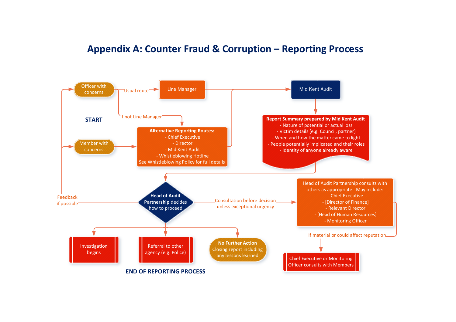### **Appendix A: Counter Fraud & Corruption – Reporting Process**

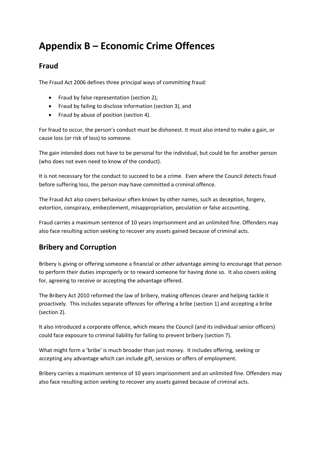## **Appendix B – Economic Crime Offences**

#### **Fraud**

The Fraud Act 2006 defines three principal ways of committing fraud:

- Fraud by false representation (section 2);
- Fraud by failing to disclose information (section 3), and
- Fraud by abuse of position (section 4).

For fraud to occur, the person's conduct must be dishonest. It must also intend to make a gain, or cause loss (or risk of loss) to someone.

The gain intended does not have to be personal for the individual, but could be for another person (who does not even need to know of the conduct).

It is not necessary for the conduct to succeed to be a crime. Even where the Council detects fraud before suffering loss, the person may have committed a criminal offence.

The Fraud Act also covers behaviour often known by other names, such as deception, forgery, extortion, conspiracy, embezzlement, misappropriation, peculation or false accounting.

Fraud carries a maximum sentence of 10 years imprisonment and an unlimited fine. Offenders may also face resulting action seeking to recover any assets gained because of criminal acts.

#### **Bribery and Corruption**

Bribery is giving or offering someone a financial or other advantage aiming to encourage that person to perform their duties improperly or to reward someone for having done so. It also covers asking for, agreeing to receive or accepting the advantage offered.

The Bribery Act 2010 reformed the law of bribery, making offences clearer and helping tackle it proactively. This includes separate offences for offering a bribe (section 1) and accepting a bribe (section 2).

It also introduced a corporate offence, which means the Council (and its individual senior officers) could face exposure to criminal liability for failing to prevent bribery (section 7).

What might form a 'bribe' is much broader than just money. It includes offering, seeking or accepting any advantage which can include gift, services or offers of employment.

Bribery carries a maximum sentence of 10 years imprisonment and an unlimited fine. Offenders may also face resulting action seeking to recover any assets gained because of criminal acts.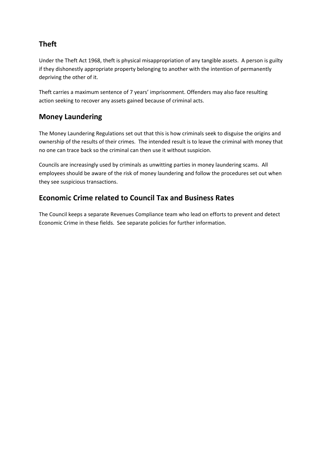#### **Theft**

Under the Theft Act 1968, theft is physical misappropriation of any tangible assets. A person is guilty if they dishonestly appropriate property belonging to another with the intention of permanently depriving the other of it.

Theft carries a maximum sentence of 7 years' imprisonment. Offenders may also face resulting action seeking to recover any assets gained because of criminal acts.

#### **Money Laundering**

The Money Laundering Regulations set out that this is how criminals seek to disguise the origins and ownership of the results of their crimes. The intended result is to leave the criminal with money that no one can trace back so the criminal can then use it without suspicion.

Councils are increasingly used by criminals as unwitting parties in money laundering scams. All employees should be aware of the risk of money laundering and follow the procedures set out when they see suspicious transactions.

#### **Economic Crime related to Council Tax and Business Rates**

The Council keeps a separate Revenues Compliance team who lead on efforts to prevent and detect Economic Crime in these fields. See separate policies for further information.